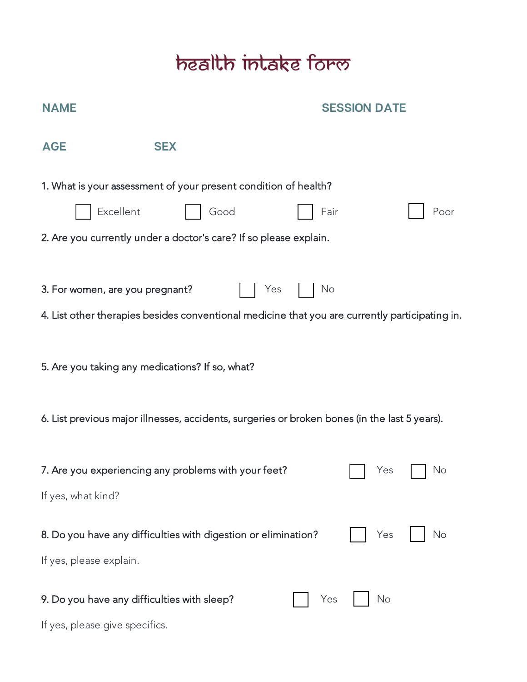## health intake form

| <b>NAME</b>                                                                   |                                                                                                       | <b>SESSION DATE</b> |
|-------------------------------------------------------------------------------|-------------------------------------------------------------------------------------------------------|---------------------|
| <b>AGE</b><br><b>SEX</b>                                                      |                                                                                                       |                     |
| Excellent                                                                     | 1. What is your assessment of your present condition of health?<br>Good                               | Fair<br>Poor        |
|                                                                               | 2. Are you currently under a doctor's care? If so please explain.                                     |                     |
| 3. For women, are you pregnant?                                               | Yes<br>4. List other therapies besides conventional medicine that you are currently participating in. | No                  |
| 5. Are you taking any medications? If so, what?                               |                                                                                                       |                     |
|                                                                               | 6. List previous major illnesses, accidents, surgeries or broken bones (in the last 5 years).         |                     |
| 7. Are you experiencing any problems with your feet?<br>If yes, what kind?    |                                                                                                       | No<br>Yes           |
| If yes, please explain.                                                       | 8. Do you have any difficulties with digestion or elimination?                                        | Yes<br>No           |
| 9. Do you have any difficulties with sleep?<br>If yes, please give specifics. |                                                                                                       | No<br>Yes           |